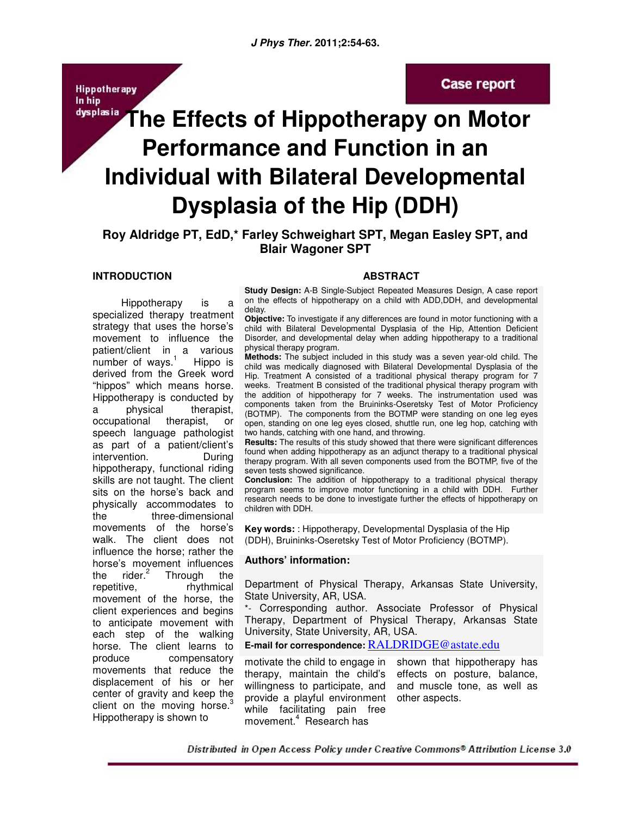**Hippotherapy** In hip

# **Case report**

# dysplasia The Effects of Hippotherapy on Motor **Performance and Function in an Individual with Bilateral Developmental Dysplasia of the Hip (DDH)**

**Roy Aldridge PT, EdD,\* Farley Schweighart SPT, Megan Easley SPT, and Blair Wagoner SPT** 

#### **INTRODUCTION**

 Hippotherapy is a specialized therapy treatment strategy that uses the horse's movement to influence the patient/client in a various number of ways. $<sup>1</sup>$ </sup> Hippo is derived from the Greek word "hippos" which means horse. Hippotherapy is conducted by a physical therapist, occupational therapist, or speech language pathologist as part of a patient/client's intervention. During hippotherapy, functional riding skills are not taught. The client sits on the horse's back and physically accommodates to the three-dimensional movements of the horse's walk. The client does not influence the horse; rather the horse's movement influences the  $\mu$  rider.<sup>2</sup> Through the repetitive, rhythmical movement of the horse, the client experiences and begins to anticipate movement with each step of the walking horse. The client learns to produce compensatory movements that reduce the displacement of his or her center of gravity and keep the client on the moving horse. $3$ Hippotherapy is shown to

## **ABSTRACT**

**Study Design:** A-B Single-Subject Repeated Measures Design, A case report on the effects of hippotherapy on a child with ADD,DDH, and developmental delay.

**Objective:** To investigate if any differences are found in motor functioning with a child with Bilateral Developmental Dysplasia of the Hip, Attention Deficient Disorder, and developmental delay when adding hippotherapy to a traditional physical therapy program.

**Methods:** The subject included in this study was a seven year-old child. The child was medically diagnosed with Bilateral Developmental Dysplasia of the Hip. Treatment A consisted of a traditional physical therapy program for 7 weeks. Treatment B consisted of the traditional physical therapy program with the addition of hippotherapy for 7 weeks. The instrumentation used was components taken from the Bruininks-Oseretsky Test of Motor Proficiency (BOTMP). The components from the BOTMP were standing on one leg eyes open, standing on one leg eyes closed, shuttle run, one leg hop, catching with two hands, catching with one hand, and throwing.

**Results:** The results of this study showed that there were significant differences found when adding hippotherapy as an adjunct therapy to a traditional physical therapy program. With all seven components used from the BOTMP, five of the seven tests showed significance.

**Conclusion:** The addition of hippotherapy to a traditional physical therapy program seems to improve motor functioning in a child with DDH. Further research needs to be done to investigate further the effects of hippotherapy on children with DDH.

**Key words:** : Hippotherapy, Developmental Dysplasia of the Hip (DDH), Bruininks-Oseretsky Test of Motor Proficiency (BOTMP).

#### **Authors' information:**

Department of Physical Therapy, Arkansas State University, State University, AR, USA.

\*- Corresponding author. Associate Professor of Physical Therapy, Department of Physical Therapy, Arkansas State University, State University, AR, USA.

**E-mail for correspondence:** RALDRIDGE@astate.edu

motivate the child to engage in shown that hippotherapy has therapy, maintain the child's effects on posture, balance, willingness to participate, and and muscle tone, as well as provide a playful environment other aspects.while facilitating pain free movement.<sup>4</sup> Research has

Distributed in Open Access Policy under Creative Commons® Attribution License 3.0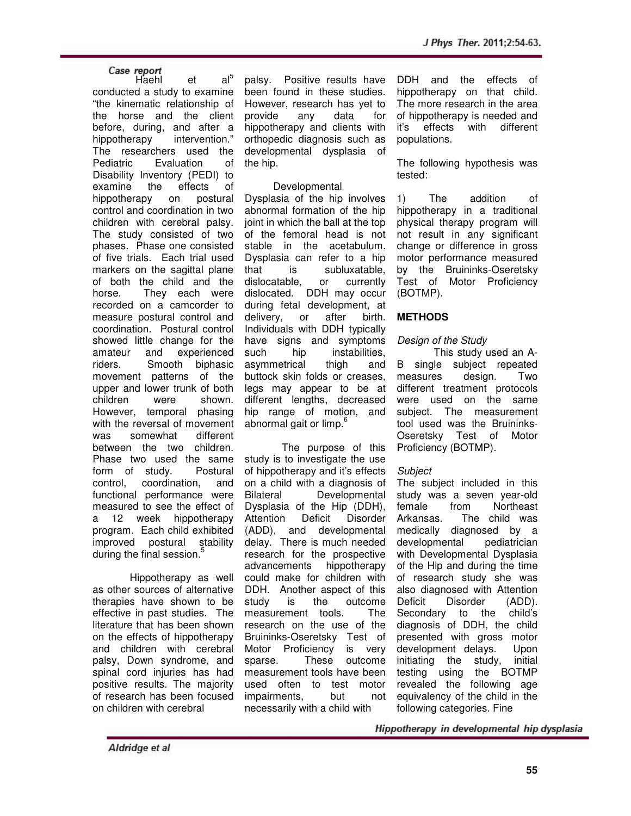Case report<br>Haehl et al<sup>5</sup> conducted a study to examine "the kinematic relationship of the horse and the client before, during, and after a hippotherapy intervention." The researchers used the Pediatric Evaluation of Disability Inventory (PEDI) to<br>examine the effects of examine the effects of hippotherapy on postural control and coordination in two children with cerebral palsy. The study consisted of two phases. Phase one consisted of five trials. Each trial used markers on the sagittal plane of both the child and the horse. They each were recorded on a camcorder to measure postural control and coordination. Postural control showed little change for the amateur and experienced riders. Smooth biphasic movement patterns of the upper and lower trunk of both children were shown. However, temporal phasing with the reversal of movement was somewhat different between the two children. Phase two used the same form of study. Postural control, coordination, and functional performance were measured to see the effect of a 12 week hippotherapy program. Each child exhibited improved postural stability during the final session.<sup>5</sup>

Hippotherapy as well as other sources of alternative therapies have shown to be effective in past studies. The literature that has been shown on the effects of hippotherapy and children with cerebral palsy, Down syndrome, and spinal cord injuries has had positive results. The majority of research has been focused on children with cerebral

palsy. Positive results have been found in these studies. However, research has yet to provide any data for hippotherapy and clients with orthopedic diagnosis such as developmental dysplasia of the hip.

## Developmental

Dysplasia of the hip involves abnormal formation of the hip joint in which the ball at the top of the femoral head is not stable in the acetabulum. Dysplasia can refer to a hip that is subluxatable, dislocatable, or currently dislocated. DDH may occur during fetal development, at delivery, or after birth. Individuals with DDH typically have signs and symptoms such hip instabilities, asymmetrical thigh and buttock skin folds or creases, legs may appear to be at different lengths, decreased hip range of motion, and abnormal gait or limp.<sup>6</sup>

The purpose of this study is to investigate the use of hippotherapy and it's effects on a child with a diagnosis of Bilateral Developmental Dysplasia of the Hip (DDH), Attention Deficit Disorder (ADD), and developmental delay. There is much needed research for the prospective advancements hippotherapy could make for children with DDH. Another aspect of this study is the outcome measurement tools. The research on the use of the Bruininks-Oseretsky Test of Motor Proficiency is very sparse. These outcome measurement tools have been used often to test motor impairments, but not necessarily with a child with

DDH and the effects of hippotherapy on that child. The more research in the area of hippotherapy is needed and it's effects with different populations.

The following hypothesis was tested:

1) The addition of hippotherapy in a traditional physical therapy program will not result in any significant change or difference in gross motor performance measured by the Bruininks-Oseretsky Test of Motor Proficiency (BOTMP).

# **METHODS**

## Design of the Study

 This study used an A-B single subject repeated measures design. Two different treatment protocols were used on the same subject. The measurement tool used was the Bruininks-Oseretsky Test of Motor Proficiency (BOTMP).

## **Subject**

The subject included in this study was a seven year-old female from Northeast Arkansas. The child was medically diagnosed by a developmental pediatrician with Developmental Dysplasia of the Hip and during the time of research study she was also diagnosed with Attention Deficit Disorder (ADD). Secondary to the child's diagnosis of DDH, the child presented with gross motor development delays. Upon initiating the study, initial testing using the BOTMP revealed the following age equivalency of the child in the following categories. Fine

Hippotherapy in developmental hip dysplasia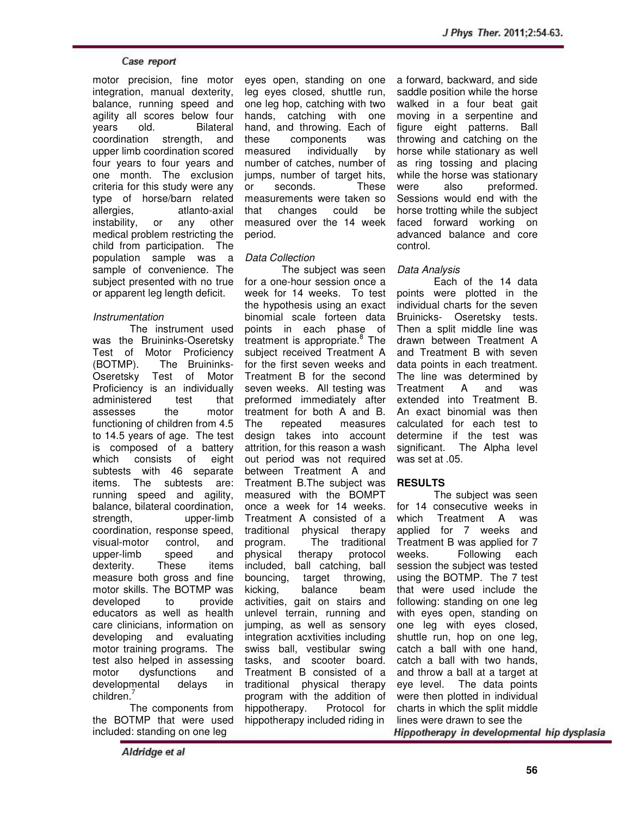motor precision, fine motor integration, manual dexterity, balance, running speed and agility all scores below four years old. Bilateral coordination strength, and upper limb coordination scored four years to four years and one month. The exclusion criteria for this study were any type of horse/barn related allergies, atlanto-axial instability, or any other medical problem restricting the child from participation. The population sample was a sample of convenience. The subject presented with no true or apparent leg length deficit.

## Instrumentation

 The instrument used was the Bruininks-Oseretsky Test of Motor Proficiency (BOTMP). The Bruininks-Oseretsky Test of Motor Proficiency is an individually administered test that assesses the motor functioning of children from 4.5 to 14.5 years of age. The test is composed of a battery which consists of eight subtests with 46 separate items. The subtests are: running speed and agility, balance, bilateral coordination, strength, upper-limb coordination, response speed, visual-motor control, and upper-limb speed and dexterity. These items measure both gross and fine motor skills. The BOTMP was developed to provide educators as well as health care clinicians, information on developing and evaluating motor training programs. The test also helped in assessing motor dysfunctions and developmental delays in children.<sup>7</sup>

 The components from the BOTMP that were used included: standing on one leg

eyes open, standing on one leg eyes closed, shuttle run, one leg hop, catching with two hands, catching with one hand, and throwing. Each of these components was measured individually by number of catches, number of jumps, number of target hits, or seconds. These measurements were taken so that changes could be measured over the 14 week period.

**J Phys Ther. 2011;2:54-63.**

## Data Collection

The subject was seen for a one-hour session once a week for 14 weeks. To test the hypothesis using an exact binomial scale forteen data points in each phase of treatment is appropriate.<sup>8</sup> The subject received Treatment A for the first seven weeks and Treatment B for the second seven weeks. All testing was preformed immediately after treatment for both A and B. The repeated measures design takes into account attrition, for this reason a wash out period was not required between Treatment A and Treatment B.The subject was measured with the BOMPT once a week for 14 weeks. Treatment A consisted of a traditional physical therapy program. The traditional physical therapy protocol included, ball catching, ball<br>bouncing, target throwing, target throwing, kicking, balance beam activities, gait on stairs and unlevel terrain, running and jumping, as well as sensory integration acxtivities including swiss ball, vestibular swing tasks, and scooter board. Treatment B consisted of a traditional physical therapy program with the addition of hippotherapy. Protocol for hippotherapy included riding in

a forward, backward, and side saddle position while the horse walked in a four beat gait moving in a serpentine and figure eight patterns. Ball throwing and catching on the horse while stationary as well as ring tossing and placing while the horse was stationary<br>were also preformed. also preformed. Sessions would end with the horse trotting while the subject faced forward working on advanced balance and core control.

# Data Analysis

Each of the 14 data points were plotted in the individual charts for the seven Bruinicks- Oseretsky tests. Then a split middle line was drawn between Treatment A and Treatment B with seven data points in each treatment. The line was determined by Treatment A and was extended into Treatment B. An exact binomial was then calculated for each test to determine if the test was significant. The Alpha level was set at .05.

# **RESULTS**

The subject was seen for 14 consecutive weeks in which Treatment A was applied for 7 weeks and Treatment B was applied for 7 weeks. Following each session the subject was tested using the BOTMP. The 7 test that were used include the following: standing on one leg with eyes open, standing on one leg with eyes closed, shuttle run, hop on one leg, catch a ball with one hand, catch a ball with two hands, and throw a ball at a target at eye level. The data points were then plotted in individual charts in which the split middle lines were drawn to see the

Hippotherapy in developmental hip dysplasia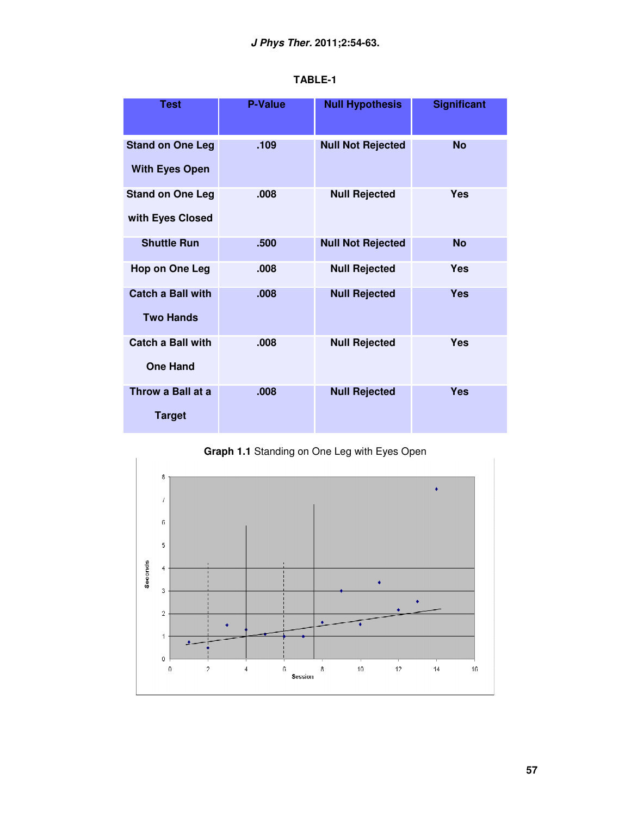| <b>Test</b>                                      | <b>P-Value</b> | <b>Null Hypothesis</b>   | <b>Significant</b> |
|--------------------------------------------------|----------------|--------------------------|--------------------|
| <b>Stand on One Leg</b><br><b>With Eyes Open</b> | .109           | <b>Null Not Rejected</b> | <b>No</b>          |
| <b>Stand on One Leg</b><br>with Eyes Closed      | .008           | <b>Null Rejected</b>     | <b>Yes</b>         |
| <b>Shuttle Run</b>                               | .500           | <b>Null Not Rejected</b> | <b>No</b>          |
| <b>Hop on One Leg</b>                            | .008           | <b>Null Rejected</b>     | <b>Yes</b>         |
| <b>Catch a Ball with</b><br><b>Two Hands</b>     | .008           | <b>Null Rejected</b>     | <b>Yes</b>         |
| <b>Catch a Ball with</b><br><b>One Hand</b>      | .008           | <b>Null Rejected</b>     | <b>Yes</b>         |
| Throw a Ball at a<br><b>Target</b>               | .008           | <b>Null Rejected</b>     | <b>Yes</b>         |

**TABLE-1** 



**Graph 1.1** Standing on One Leg with Eyes Open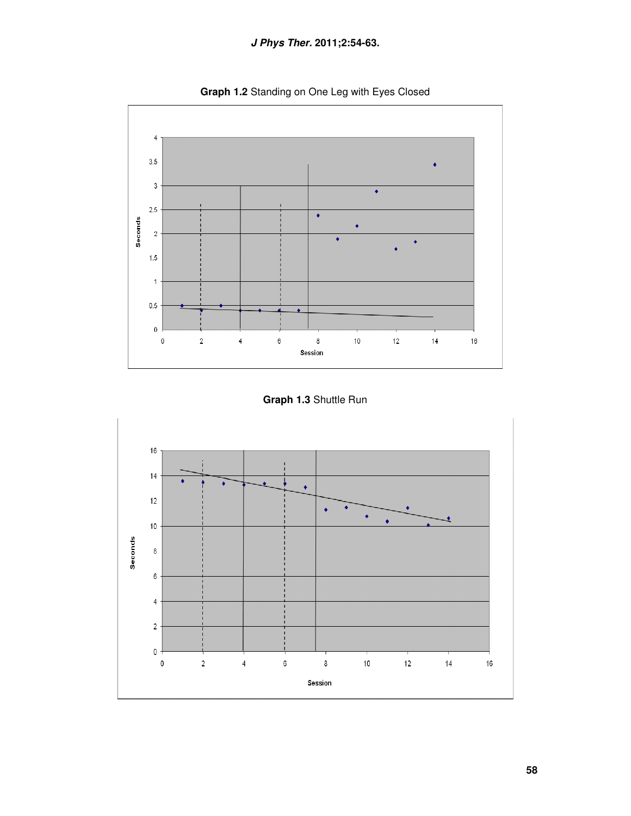



**Graph 1.3** Shuttle Run

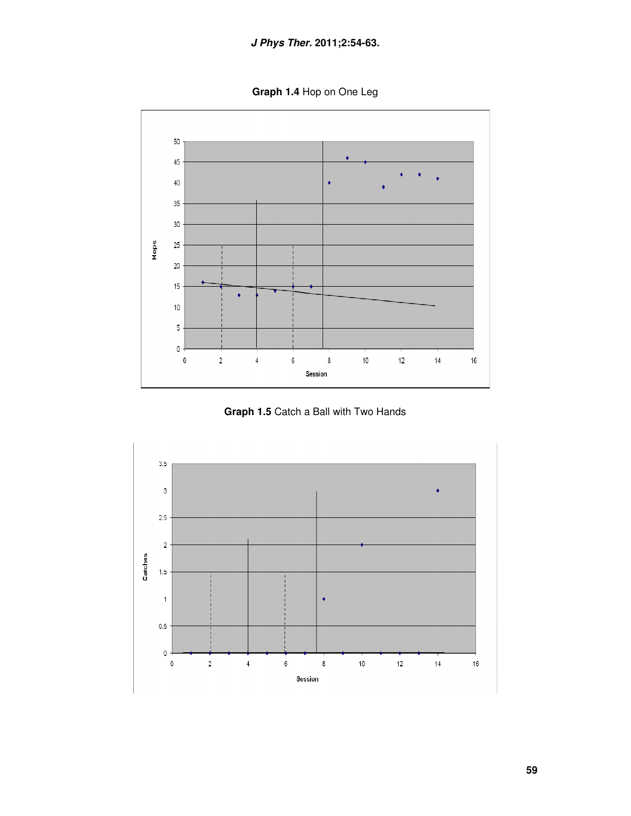**Graph 1.4** Hop on One Leg



**Graph 1.5** Catch a Ball with Two Hands

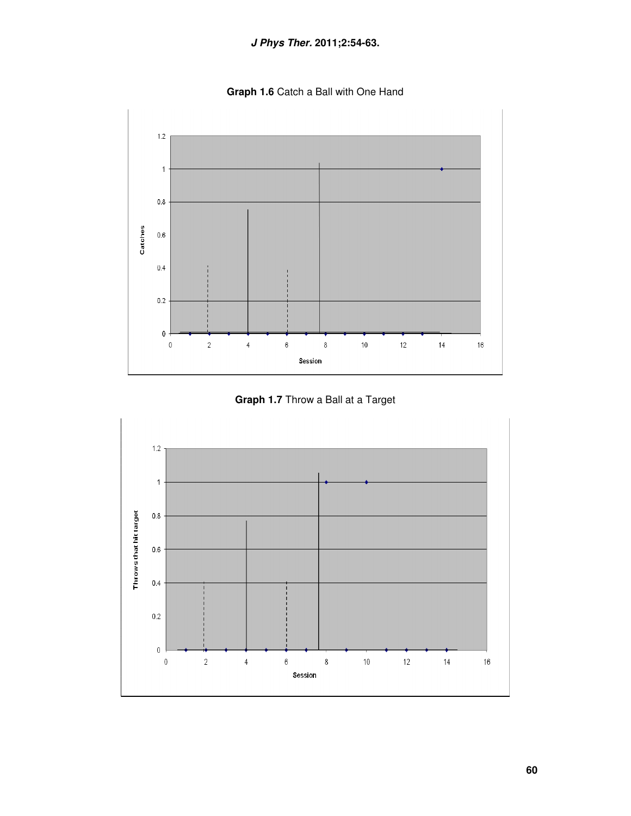**Graph 1.6** Catch a Ball with One Hand



**Graph 1.7** Throw a Ball at a Target

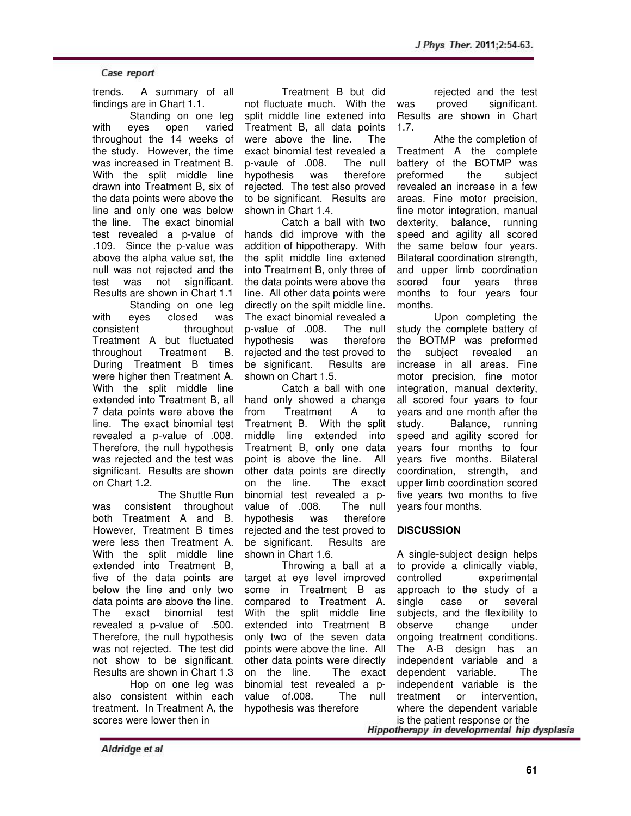trends. A summary of all findings are in Chart 1.1.

Standing on one leg with eyes open varied throughout the 14 weeks of the study. However, the time was increased in Treatment B. With the split middle line drawn into Treatment B, six of the data points were above the line and only one was below the line. The exact binomial test revealed a p-value of .109. Since the p-value was above the alpha value set, the null was not rejected and the test was not significant. Results are shown in Chart 1.1 Standing on one leg with eyes closed was consistent throughout Treatment A but fluctuated throughout Treatment B. During Treatment B times were higher then Treatment A. With the split middle line extended into Treatment B, all 7 data points were above the

line. The exact binomial test revealed a p-value of .008. Therefore, the null hypothesis was rejected and the test was significant. Results are shown on Chart 1.2.

 The Shuttle Run was consistent throughout both Treatment A and B. However, Treatment B times were less then Treatment A. With the split middle line extended into Treatment B, five of the data points are below the line and only two data points are above the line. The exact binomial test revealed a p-value of .500. Therefore, the null hypothesis was not rejected. The test did not show to be significant. Results are shown in Chart 1.3

Hop on one leg was also consistent within each treatment. In Treatment A, the scores were lower then in

Treatment B but did not fluctuate much. With the split middle line extened into Treatment B, all data points were above the line. The exact binomial test revealed a p-vaule of .008. The null hypothesis was therefore rejected. The test also proved to be significant. Results are shown in Chart 1.4.

Catch a ball with two hands did improve with the addition of hippotherapy. With the split middle line extened into Treatment B, only three of the data points were above the line. All other data points were directly on the spilt middle line. The exact binomial revealed a<br>p-value of .008. The null p-value of .008. hypothesis was therefore rejected and the test proved to be significant. Results are shown on Chart 1.5.

Catch a ball with one hand only showed a change from Treatment A to Treatment B. With the split middle line extended into Treatment B, only one data point is above the line. All other data points are directly on the line. The exact binomial test revealed a pvalue of .008. The null hypothesis was therefore rejected and the test proved to be significant. Results are shown in Chart 1.6.

Throwing a ball at a target at eye level improved some in Treatment B as compared to Treatment A. With the split middle line extended into Treatment B only two of the seven data points were above the line. All other data points were directly on the line. The exact binomial test revealed a pvalue of.008. The null hypothesis was therefore

rejected and the test was proved significant. Results are shown in Chart 1.7.

Athe the completion of Treatment A the complete battery of the BOTMP was preformed the subject revealed an increase in a few areas. Fine motor precision, fine motor integration, manual dexterity, balance, running speed and agility all scored the same below four years. Bilateral coordination strength, and upper limb coordination scored four years three months to four years four months.

Upon completing the study the complete battery of the BOTMP was preformed the subject revealed an increase in all areas. Fine motor precision, fine motor integration, manual dexterity, all scored four years to four years and one month after the study. Balance, running speed and agility scored for years four months to four years five months. Bilateral coordination, strength, and upper limb coordination scored five years two months to five years four months.

# **DISCUSSION**

A single-subject design helps to provide a clinically viable, controlled experimental approach to the study of a single case or several subjects, and the flexibility to observe change under ongoing treatment conditions. The A-B design has an independent variable and a dependent variable. The independent variable is the treatment or intervention, where the dependent variable

is the patient response or the<br>Hippotherapy in developmental hip dysplasia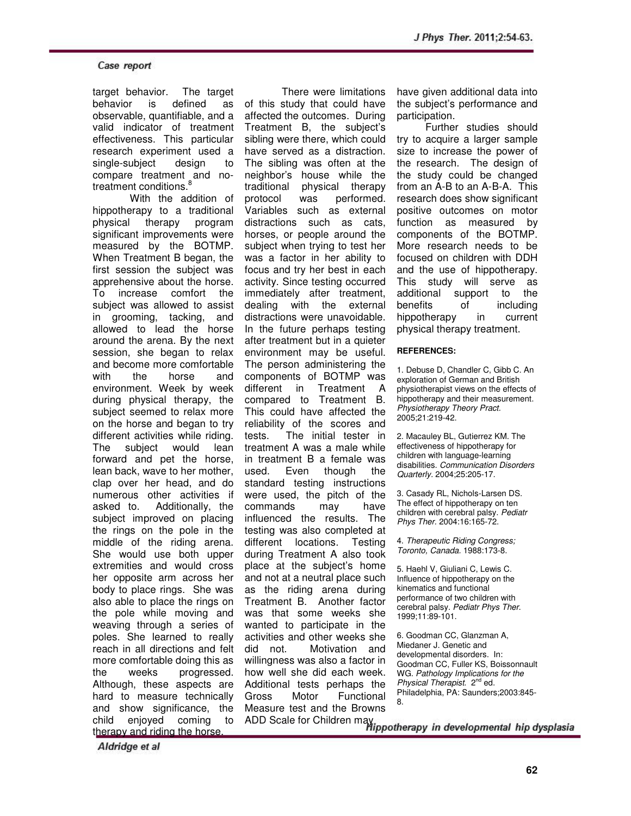target behavior. The target behavior is defined as observable, quantifiable, and a valid indicator of treatment effectiveness. This particular research experiment used a single-subject design to compare treatment and notreatment conditions.<sup>8</sup>

With the addition of hippotherapy to a traditional physical therapy program significant improvements were measured by the BOTMP. When Treatment B began, the first session the subject was apprehensive about the horse. To increase comfort the subject was allowed to assist in grooming, tacking, and allowed to lead the horse around the arena. By the next session, she began to relax and become more comfortable with the horse and environment. Week by week during physical therapy, the subject seemed to relax more on the horse and began to try different activities while riding. The subject would lean forward and pet the horse, lean back, wave to her mother, clap over her head, and do numerous other activities if asked to. Additionally, the subject improved on placing the rings on the pole in the middle of the riding arena. She would use both upper extremities and would cross her opposite arm across her body to place rings. She was also able to place the rings on the pole while moving and weaving through a series of poles. She learned to really reach in all directions and felt more comfortable doing this as the weeks progressed. Although, these aspects are hard to measure technically and show significance, the child enjoyed coming to therapy and riding the horse.

There were limitations of this study that could have affected the outcomes. During Treatment B, the subject's sibling were there, which could have served as a distraction. The sibling was often at the neighbor's house while the traditional physical therapy protocol was performed. Variables such as external distractions such as cats, horses, or people around the subject when trying to test her was a factor in her ability to focus and try her best in each activity. Since testing occurred immediately after treatment, dealing with the external distractions were unavoidable. In the future perhaps testing after treatment but in a quieter environment may be useful. The person administering the components of BOTMP was different in Treatment A compared to Treatment B. This could have affected the reliability of the scores and tests. The initial tester in treatment A was a male while in treatment B a female was used. Even though the standard testing instructions were used, the pitch of the commands may have influenced the results. The testing was also completed at different locations. Testing during Treatment A also took place at the subject's home and not at a neutral place such as the riding arena during Treatment B. Another factor was that some weeks she wanted to participate in the activities and other weeks she did not. Motivation and willingness was also a factor in how well she did each week. Additional tests perhaps the Gross Motor Functional Measure test and the Browns

have given additional data into the subject's performance and participation.

 Further studies should try to acquire a larger sample size to increase the power of the research. The design of the study could be changed from an A-B to an A-B-A. This research does show significant positive outcomes on motor function as measured by components of the BOTMP. More research needs to be focused on children with DDH and the use of hippotherapy. This study will serve as additional support to the benefits of including hippotherapy in current physical therapy treatment.

#### **REFERENCES:**

1. Debuse D, Chandler C, Gibb C. An exploration of German and British physiotherapist views on the effects of hippotherapy and their measurement. Physiotherapy Theory Pract. 2005;21:219-42.

2. Macauley BL, Gutierrez KM. The effectiveness of hippotherapy for children with language-learning disabilities. Communication Disorders Quarterly. 2004;25:205-17.

3. Casady RL, Nichols-Larsen DS. The effect of hippotherapy on ten children with cerebral palsy. Pediatr Phys Ther. 2004:16:165-72.

4. Therapeutic Riding Congress; Toronto, Canada. 1988:173-8.

5. Haehl V, Giuliani C, Lewis C. Influence of hippotherapy on the kinematics and functional performance of two children with cerebral palsy. Pediatr Phys Ther. 1999;11:89-101.

6. Goodman CC, Glanzman A, Miedaner J. Genetic and developmental disorders. In: Goodman CC, Fuller KS, Boissonnault WG. Pathology Implications for the Physical Therapist. 2<sup>nd</sup> ed. Philadelphia, PA: Saunders;2003:845- 8.

ADD Scale for Children may in developmental hip dysplasia